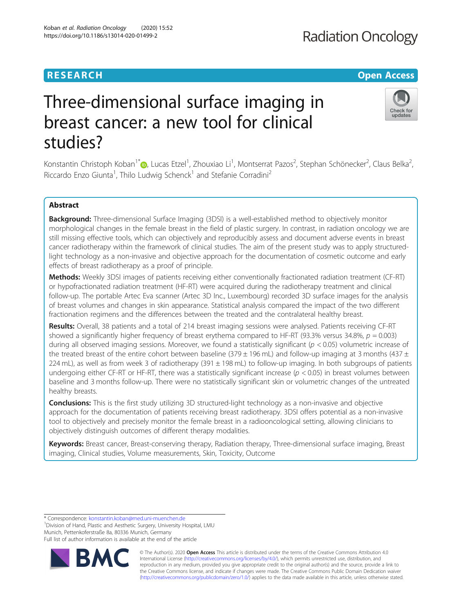# **RESEARCH CHE Open Access**

# Three-dimensional surface imaging in breast cancer: a new tool for clinical studies?

Konstantin Christoph Koban<sup>1\*</sup>®[,](http://orcid.org/0000-0003-0387-0821) Lucas Etzel<sup>1</sup>, Zhouxiao Li<sup>1</sup>, Montserrat Pazos<sup>2</sup>, Stephan Schönecker<sup>2</sup>, Claus Belka<sup>2</sup> , Riccardo Enzo Giunta<sup>1</sup>, Thilo Ludwig Schenck<sup>1</sup> and Stefanie Corradini<sup>2</sup>

# Abstract

**Background:** Three-dimensional Surface Imaging (3DSI) is a well-established method to objectively monitor morphological changes in the female breast in the field of plastic surgery. In contrast, in radiation oncology we are still missing effective tools, which can objectively and reproducibly assess and document adverse events in breast cancer radiotherapy within the framework of clinical studies. The aim of the present study was to apply structuredlight technology as a non-invasive and objective approach for the documentation of cosmetic outcome and early effects of breast radiotherapy as a proof of principle.

Methods: Weekly 3DSI images of patients receiving either conventionally fractionated radiation treatment (CF-RT) or hypofractionated radiation treatment (HF-RT) were acquired during the radiotherapy treatment and clinical follow-up. The portable Artec Eva scanner (Artec 3D Inc., Luxembourg) recorded 3D surface images for the analysis of breast volumes and changes in skin appearance. Statistical analysis compared the impact of the two different fractionation regimens and the differences between the treated and the contralateral healthy breast.

Results: Overall, 38 patients and a total of 214 breast imaging sessions were analysed. Patients receiving CF-RT showed a significantly higher frequency of breast erythema compared to HF-RT (93.3% versus 34.8%,  $p = 0.003$ ) during all observed imaging sessions. Moreover, we found a statistically significant ( $p < 0.05$ ) volumetric increase of the treated breast of the entire cohort between baseline (379  $\pm$  196 mL) and follow-up imaging at 3 months (437  $\pm$ 224 mL), as well as from week 3 of radiotherapy (391 ± 198 mL) to follow-up imaging. In both subgroups of patients undergoing either CF-RT or HF-RT, there was a statistically significant increase ( $p < 0.05$ ) in breast volumes between baseline and 3 months follow-up. There were no statistically significant skin or volumetric changes of the untreated healthy breasts.

**Conclusions:** This is the first study utilizing 3D structured-light technology as a non-invasive and objective approach for the documentation of patients receiving breast radiotherapy. 3DSI offers potential as a non-invasive tool to objectively and precisely monitor the female breast in a radiooncological setting, allowing clinicians to objectively distinguish outcomes of different therapy modalities.

Keywords: Breast cancer, Breast-conserving therapy, Radiation therapy, Three-dimensional surface imaging, Breast imaging, Clinical studies, Volume measurements, Skin, Toxicity, Outcome

\* Correspondence: [konstantin.koban@med.uni-muenchen.de](mailto:konstantin.koban@med.uni-muenchen.de) <sup>1</sup>

<sup>1</sup> Division of Hand, Plastic and Aesthetic Surgery, University Hospital, LMU Munich, Pettenkoferstraße 8a, 80336 Munich, Germany

Full list of author information is available at the end of the article

**BM** 

© The Author(s). 2020 **Open Access** This article is distributed under the terms of the Creative Commons Attribution 4.0 International License [\(http://creativecommons.org/licenses/by/4.0/](http://creativecommons.org/licenses/by/4.0/)), which permits unrestricted use, distribution, and reproduction in any medium, provided you give appropriate credit to the original author(s) and the source, provide a link to the Creative Commons license, and indicate if changes were made. The Creative Commons Public Domain Dedication waiver [\(http://creativecommons.org/publicdomain/zero/1.0/](http://creativecommons.org/publicdomain/zero/1.0/)) applies to the data made available in this article, unless otherwise stated.



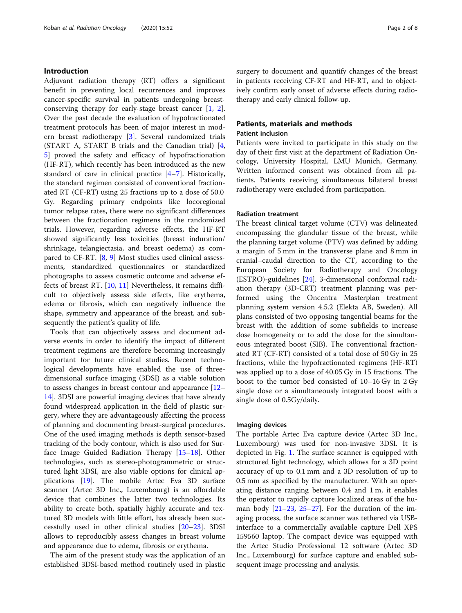#### Introduction

Adjuvant radiation therapy (RT) offers a significant benefit in preventing local recurrences and improves cancer-specific survival in patients undergoing breastconserving therapy for early-stage breast cancer [[1,](#page-6-0) [2](#page-6-0)]. Over the past decade the evaluation of hypofractionated treatment protocols has been of major interest in modern breast radiotherapy [\[3\]](#page-6-0). Several randomized trials (START A, START B trials and the Canadian trial) [\[4](#page-6-0), [5\]](#page-6-0) proved the safety and efficacy of hypofractionation (HF-RT), which recently has been introduced as the new standard of care in clinical practice [\[4](#page-6-0)–[7\]](#page-6-0). Historically, the standard regimen consisted of conventional fractionated RT (CF-RT) using 25 fractions up to a dose of 50.0 Gy. Regarding primary endpoints like locoregional tumor relapse rates, there were no significant differences between the fractionation regimens in the randomized trials. However, regarding adverse effects, the HF-RT showed significantly less toxicities (breast induration/ shrinkage, telangiectasia, and breast oedema) as compared to CF-RT. [\[8,](#page-6-0) [9](#page-6-0)] Most studies used clinical assessments, standardized questionnaires or standardized photographs to assess cosmetic outcome and adverse effects of breast RT. [\[10](#page-6-0), [11](#page-6-0)] Nevertheless, it remains difficult to objectively assess side effects, like erythema, edema or fibrosis, which can negatively influence the shape, symmetry and appearance of the breast, and subsequently the patient's quality of life.

Tools that can objectively assess and document adverse events in order to identify the impact of different treatment regimens are therefore becoming increasingly important for future clinical studies. Recent technological developments have enabled the use of threedimensional surface imaging (3DSI) as a viable solution to assess changes in breast contour and appearance [[12](#page-6-0)– [14\]](#page-7-0). 3DSI are powerful imaging devices that have already found widespread application in the field of plastic surgery, where they are advantageously affecting the process of planning and documenting breast-surgical procedures. One of the used imaging methods is depth sensor-based tracking of the body contour, which is also used for Surface Image Guided Radiation Therapy [\[15](#page-7-0)–[18\]](#page-7-0). Other technologies, such as stereo-photogrammetric or structured light 3DSI, are also viable options for clinical applications [[19\]](#page-7-0). The mobile Artec Eva 3D surface scanner (Artec 3D Inc., Luxembourg) is an affordable device that combines the latter two technologies. Its ability to create both, spatially highly accurate and textured 3D models with little effort, has already been successfully used in other clinical studies [[20](#page-7-0)–[23](#page-7-0)]. 3DSI allows to reproducibly assess changes in breast volume and appearance due to edema, fibrosis or erythema.

The aim of the present study was the application of an established 3DSI-based method routinely used in plastic surgery to document and quantify changes of the breast in patients receiving CF-RT and HF-RT, and to objectively confirm early onset of adverse effects during radiotherapy and early clinical follow-up.

## Patients, materials and methods

#### Patient inclusion

Patients were invited to participate in this study on the day of their first visit at the department of Radiation Oncology, University Hospital, LMU Munich, Germany. Written informed consent was obtained from all patients. Patients receiving simultaneous bilateral breast radiotherapy were excluded from participation.

#### Radiation treatment

The breast clinical target volume (CTV) was delineated encompassing the glandular tissue of the breast, while the planning target volume (PTV) was defined by adding a margin of 5 mm in the transverse plane and 8 mm in cranial–caudal direction to the CT, according to the European Society for Radiotherapy and Oncology (ESTRO)-guidelines [\[24\]](#page-7-0). 3-dimensional conformal radiation therapy (3D-CRT) treatment planning was performed using the Oncentra Masterplan treatment planning system version 4.5.2 (Elekta AB, Sweden). All plans consisted of two opposing tangential beams for the breast with the addition of some subfields to increase dose homogeneity or to add the dose for the simultaneous integrated boost (SIB). The conventional fractionated RT (CF-RT) consisted of a total dose of 50 Gy in 25 fractions, while the hypofractionated regimens (HF-RT) was applied up to a dose of 40.05 Gy in 15 fractions. The boost to the tumor bed consisted of 10–16 Gy in 2 Gy single dose or a simultaneously integrated boost with a single dose of 0.5Gy/daily.

#### Imaging devices

The portable Artec Eva capture device (Artec 3D Inc., Luxembourg) was used for non-invasive 3DSI. It is depicted in Fig. [1](#page-2-0). The surface scanner is equipped with structured light technology, which allows for a 3D point accuracy of up to 0.1 mm and a 3D resolution of up to 0.5 mm as specified by the manufacturer. With an operating distance ranging between 0.4 and 1 m, it enables the operator to rapidly capture localized areas of the human body  $[21-23, 25-27]$  $[21-23, 25-27]$  $[21-23, 25-27]$  $[21-23, 25-27]$  $[21-23, 25-27]$  $[21-23, 25-27]$  $[21-23, 25-27]$  $[21-23, 25-27]$ . For the duration of the imaging process, the surface scanner was tethered via USBinterface to a commercially available capture Dell XPS 159560 laptop. The compact device was equipped with the Artec Studio Professional 12 software (Artec 3D Inc., Luxembourg) for surface capture and enabled subsequent image processing and analysis.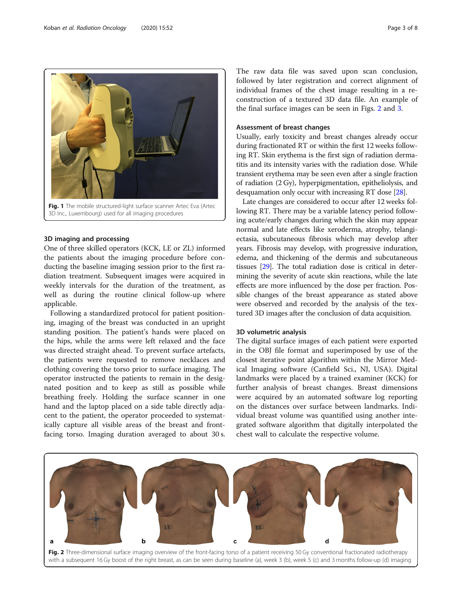<span id="page-2-0"></span>

3D Inc., Luxembourg) used for all imaging procedures

#### 3D imaging and processing

One of three skilled operators (KCK, LE or ZL) informed the patients about the imaging procedure before conducting the baseline imaging session prior to the first radiation treatment. Subsequent images were acquired in weekly intervals for the duration of the treatment, as well as during the routine clinical follow-up where applicable.

Following a standardized protocol for patient positioning, imaging of the breast was conducted in an upright standing position. The patient's hands were placed on the hips, while the arms were left relaxed and the face was directed straight ahead. To prevent surface artefacts, the patients were requested to remove necklaces and clothing covering the torso prior to surface imaging. The operator instructed the patients to remain in the designated position and to keep as still as possible while breathing freely. Holding the surface scanner in one hand and the laptop placed on a side table directly adjacent to the patient, the operator proceeded to systematically capture all visible areas of the breast and frontfacing torso. Imaging duration averaged to about 30 s.

The raw data file was saved upon scan conclusion, followed by later registration and correct alignment of individual frames of the chest image resulting in a reconstruction of a textured 3D data file. An example of the final surface images can be seen in Figs. 2 and [3](#page-3-0).

#### Assessment of breast changes

Usually, early toxicity and breast changes already occur during fractionated RT or within the first 12 weeks following RT. Skin erythema is the first sign of radiation dermatitis and its intensity varies with the radiation dose. While transient erythema may be seen even after a single fraction of radiation (2 Gy), hyperpigmentation, epitheliolysis, and desquamation only occur with increasing RT dose [\[28](#page-7-0)].

Late changes are considered to occur after 12 weeks following RT. There may be a variable latency period following acute/early changes during which the skin may appear normal and late effects like xeroderma, atrophy, telangiectasia, subcutaneous fibrosis which may develop after years. Fibrosis may develop, with progressive induration, edema, and thickening of the dermis and subcutaneous tissues [\[29\]](#page-7-0). The total radiation dose is critical in determining the severity of acute skin reactions, while the late effects are more influenced by the dose per fraction. Possible changes of the breast appearance as stated above were observed and recorded by the analysis of the textured 3D images after the conclusion of data acquisition.

#### 3D volumetric analysis

The digital surface images of each patient were exported in the OBJ file format and superimposed by use of the closest iterative point algorithm within the Mirror Medical Imaging software (Canfield Sci., NJ, USA). Digital landmarks were placed by a trained examiner (KCK) for further analysis of breast changes. Breast dimensions were acquired by an automated software log reporting on the distances over surface between landmarks. Individual breast volume was quantified using another integrated software algorithm that digitally interpolated the chest wall to calculate the respective volume.

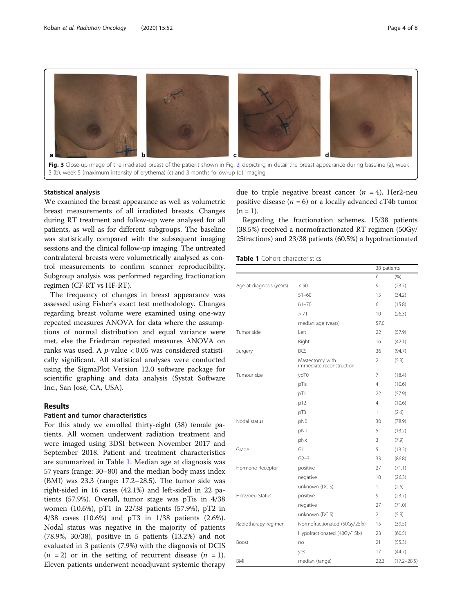<span id="page-3-0"></span>

#### Statistical analysis

We examined the breast appearance as well as volumetric breast measurements of all irradiated breasts. Changes during RT treatment and follow-up were analysed for all patients, as well as for different subgroups. The baseline was statistically compared with the subsequent imaging sessions and the clinical follow-up imaging. The untreated contralateral breasts were volumetrically analysed as control measurements to confirm scanner reproducibility. Subgroup analysis was performed regarding fractionation regimen (CF-RT vs HF-RT).

The frequency of changes in breast appearance was assessed using Fisher's exact test methodology. Changes regarding breast volume were examined using one-way repeated measures ANOVA for data where the assumptions of normal distribution and equal variance were met, else the Friedman repeated measures ANOVA on ranks was used. A  $p$ -value < 0.05 was considered statistically significant. All statistical analyses were conducted using the SigmaPlot Version 12.0 software package for scientific graphing and data analysis (Systat Software Inc., San José, CA, USA).

#### Results

### Patient and tumor characteristics

For this study we enrolled thirty-eight (38) female patients. All women underwent radiation treatment and were imaged using 3DSI between November 2017 and September 2018. Patient and treatment characteristics are summarized in Table 1. Median age at diagnosis was 57 years (range: 30–80) and the median body mass index (BMI) was 23.3 (range: 17.2–28.5). The tumor side was right-sided in 16 cases (42.1%) and left-sided in 22 patients (57.9%). Overall, tumor stage was pTis in 4/38 women (10.6%), pT1 in 22/38 patients (57.9%), pT2 in 4/38 cases (10.6%) and pT3 in 1/38 patients (2.6%). Nodal status was negative in the majority of patients (78.9%, 30/38), positive in 5 patients (13.2%) and not evaluated in 3 patients (7.9%) with the diagnosis of DCIS  $(n = 2)$  or in the setting of recurrent disease  $(n = 1)$ . Eleven patients underwent neoadjuvant systemic therapy due to triple negative breast cancer  $(n = 4)$ , Her2-neu positive disease ( $n = 6$ ) or a locally advanced cT4b tumor  $(n = 1)$ .

Regarding the fractionation schemes, 15/38 patients (38.5%) received a normofractionated RT regimen (50Gy/ 25fractions) and 23/38 patients (60.5%) a hypofractionated

#### Table 1 Cohort characteristics

|                          |                                             |                | 38 patients     |  |
|--------------------------|---------------------------------------------|----------------|-----------------|--|
|                          |                                             | n              | (96)            |  |
| Age at diagnosis (years) | < 50                                        | $\mathsf{Q}$   | (23.7)          |  |
|                          | $51 - 60$                                   | 13             | (34.2)          |  |
|                          | $61 - 70$                                   | 6              | (15.8)          |  |
|                          | > 71                                        | 10             | (26.3)          |  |
|                          | median age (years)                          | 57.0           |                 |  |
| Tumor side               | Left                                        | 22             | (57.9)          |  |
|                          | Right                                       | 16             | (42.1)          |  |
| Surgery                  | <b>BCS</b>                                  | 36             | (94.7)          |  |
|                          | Mastectomy with<br>immediate reconstruction | $\overline{2}$ | (5.3)           |  |
| Tumour size              | ypT0                                        | 7              | (18.4)          |  |
|                          | pTis                                        | 4              | (10.6)          |  |
|                          | pT1                                         | 22             | (57.9)          |  |
|                          | pT <sub>2</sub>                             | 4              | (10.6)          |  |
|                          | pT3                                         | 1              | (2.6)           |  |
| Nodal status             | pN0                                         | 30             | (78.9)          |  |
|                          | pN+                                         | 5              | (13.2)          |  |
|                          | pNx                                         | 3              | (7.9)           |  |
| Grade                    | G1                                          | 5              | (13.2)          |  |
|                          | $G2-3$                                      | 33             | (86.8)          |  |
| Hormone Receptor         | positive                                    | 27             | (71.1)          |  |
|                          | negative                                    | 10             | (26.3)          |  |
|                          | unknown (DCIS)                              | 1              | (2.6)           |  |
| Her2/neu Status          | positive                                    | 9              | (23.7)          |  |
|                          | negative                                    | 27             | (71.0)          |  |
|                          | unknown (DCIS)                              | $\overline{2}$ | (5.3)           |  |
| Radiotherapy regimen     | Normofractionated (50Gy/25fx)               | 15             | (39.5)          |  |
|                          | Hypofractionated (40Gy/15fx)                | 23             | (60.5)          |  |
| Boost                    | no                                          | 21             | (55.3)          |  |
|                          | yes                                         | 17             | (44.7)          |  |
| BMI                      | median (range)                              | 22.3           | $(17.2 - 28.5)$ |  |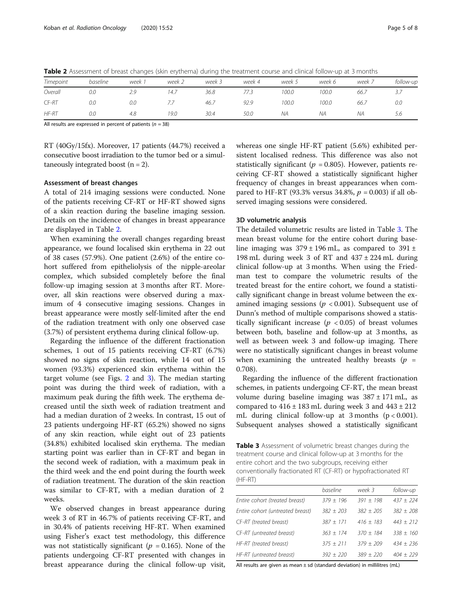| Timepoint | baseline | week | week 2 | week 3 | week 4 | week 5 | week 6 | week 7 | follow-up |
|-----------|----------|------|--------|--------|--------|--------|--------|--------|-----------|
| Overall   | 0.0      | 2.9  | 14.7   | 36.8   |        | 100.0  | 100.0  | 66.7   | ر         |
| CF-RT     | 0.0      | 0.0  |        | 46.7   | 92.9   | 100.0  | 100.0  | 66.7   | 0.0       |
| $HF-RT$   | 0.0      | 4.8  | 19.0   | 30.4   | 50.0   | ΝA     | ΝA     | NA     | 5.6       |

Table 2 Assessment of breast changes (skin erythema) during the treatment course and clinical follow-up at 3 months

All results are expressed in percent of patients ( $n = 38$ )

RT (40Gy/15fx). Moreover, 17 patients (44.7%) received a consecutive boost irradiation to the tumor bed or a simultaneously integrated boost  $(n = 2)$ .

#### Assessment of breast changes

A total of 214 imaging sessions were conducted. None of the patients receiving CF-RT or HF-RT showed signs of a skin reaction during the baseline imaging session. Details on the incidence of changes in breast appearance are displayed in Table 2.

When examining the overall changes regarding breast appearance, we found localised skin erythema in 22 out of 38 cases (57.9%). One patient (2.6%) of the entire cohort suffered from epitheliolysis of the nipple-areolar complex, which subsided completely before the final follow-up imaging session at 3 months after RT. Moreover, all skin reactions were observed during a maximum of 4 consecutive imaging sessions. Changes in breast appearance were mostly self-limited after the end of the radiation treatment with only one observed case (3.7%) of persistent erythema during clinical follow-up.

Regarding the influence of the different fractionation schemes, 1 out of 15 patients receiving CF-RT (6.7%) showed no signs of skin reaction, while 14 out of 15 women (93.3%) experienced skin erythema within the target volume (see Figs. [2](#page-2-0) and [3](#page-3-0)). The median starting point was during the third week of radiation, with a maximum peak during the fifth week. The erythema decreased until the sixth week of radiation treatment and had a median duration of 2 weeks. In contrast, 15 out of 23 patients undergoing HF-RT (65.2%) showed no signs of any skin reaction, while eight out of 23 patients (34.8%) exhibited localised skin erythema. The median starting point was earlier than in CF-RT and began in the second week of radiation, with a maximum peak in the third week and the end point during the fourth week of radiation treatment. The duration of the skin reaction was similar to CF-RT, with a median duration of 2 weeks.

We observed changes in breast appearance during week 3 of RT in 46.7% of patients receiving CF-RT, and in 30.4% of patients receiving HF-RT. When examined using Fisher's exact test methodology, this difference was not statistically significant ( $p = 0.165$ ). None of the patients undergoing CF-RT presented with changes in breast appearance during the clinical follow-up visit, whereas one single HF-RT patient (5.6%) exhibited persistent localised redness. This difference was also not statistically significant ( $p = 0.805$ ). However, patients receiving CF-RT showed a statistically significant higher frequency of changes in breast appearances when compared to HF-RT (93.3% versus 34.8%,  $p = 0.003$ ) if all observed imaging sessions were considered.

#### 3D volumetric analysis

The detailed volumetric results are listed in Table 3. The mean breast volume for the entire cohort during baseline imaging was  $379 \pm 196$  mL, as compared to  $391 \pm$ 198 mL during week 3 of RT and 437 ± 224 mL during clinical follow-up at 3 months. When using the Friedman test to compare the volumetric results of the treated breast for the entire cohort, we found a statistically significant change in breast volume between the examined imaging sessions ( $p < 0.001$ ). Subsequent use of Dunn's method of multiple comparisons showed a statistically significant increase ( $p < 0.05$ ) of breast volumes between both, baseline and follow-up at 3 months, as well as between week 3 and follow-up imaging. There were no statistically significant changes in breast volume when examining the untreated healthy breasts ( $p =$ 0.708).

Regarding the influence of the different fractionation schemes, in patients undergoing CF-RT, the mean breast volume during baseline imaging was 387 ± 171 mL, as compared to  $416 \pm 183$  mL during week 3 and  $443 \pm 212$ mL during clinical follow-up at 3 months  $(p < 0.001)$ . Subsequent analyses showed a statistically significant

Table 3 Assessment of volumetric breast changes during the treatment course and clinical follow-up at 3 months for the entire cohort and the two subgroups, receiving either conventionally fractionated RT (CF-RT) or hypofractionated RT (HF-RT)

|                                  | baseline    | week 3      | follow-up   |
|----------------------------------|-------------|-------------|-------------|
| Entire cohort (treated breast)   | $379 + 196$ | $391 + 198$ | $437 + 224$ |
| Entire cohort (untreated breast) | $382 + 203$ | $382 + 205$ | $382 + 208$ |
| CF-RT (treated breast)           | $387 + 171$ | $416 + 183$ | $443 + 212$ |
| CF-RT (untreated breast)         | $363 + 174$ | $370 + 184$ | $338 + 160$ |
| HF-RT (treated breast)           | $375 + 211$ | $379 + 209$ | $434 + 236$ |
| HF-RT (untreated breast)         | $392 + 220$ | $389 + 220$ | $404 + 229$ |

All results are given as mean  $\pm$  sd (standard deviation) in millilitres (mL)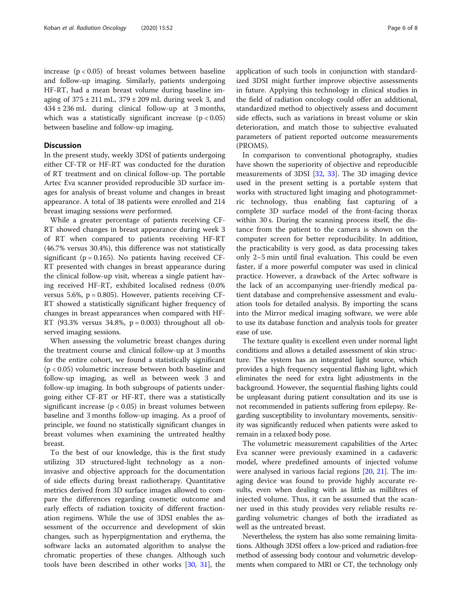increase  $(p < 0.05)$  of breast volumes between baseline and follow-up imaging. Similarly, patients undergoing HF-RT, had a mean breast volume during baseline imaging of  $375 \pm 211$  mL,  $379 \pm 209$  mL during week 3, and 434 ± 236 mL during clinical follow-up at 3 months, which was a statistically significant increase  $(p < 0.05)$ between baseline and follow-up imaging.

#### **Discussion**

In the present study, weekly 3DSI of patients undergoing either CF-TR or HF-RT was conducted for the duration of RT treatment and on clinical follow-up. The portable Artec Eva scanner provided reproducible 3D surface images for analysis of breast volume and changes in breast appearance. A total of 38 patients were enrolled and 214 breast imaging sessions were performed.

While a greater percentage of patients receiving CF-RT showed changes in breast appearance during week 3 of RT when compared to patients receiving HF-RT (46.7% versus 30.4%), this difference was not statistically significant ( $p = 0.165$ ). No patients having received CF-RT presented with changes in breast appearance during the clinical follow-up visit, whereas a single patient having received HF-RT, exhibited localised redness (0.0% versus 5.6%,  $p = 0.805$ ). However, patients receiving CF-RT showed a statistically significant higher frequency of changes in breast appearances when compared with HF-RT (93.3% versus 34.8%,  $p = 0.003$ ) throughout all observed imaging sessions.

When assessing the volumetric breast changes during the treatment course and clinical follow-up at 3 months for the entire cohort, we found a statistically significant (p < 0.05) volumetric increase between both baseline and follow-up imaging, as well as between week 3 and follow-up imaging. In both subgroups of patients undergoing either CF-RT or HF-RT, there was a statistically significant increase ( $p < 0.05$ ) in breast volumes between baseline and 3 months follow-up imaging. As a proof of principle, we found no statistically significant changes in breast volumes when examining the untreated healthy breast.

To the best of our knowledge, this is the first study utilizing 3D structured-light technology as a noninvasive and objective approach for the documentation of side effects during breast radiotherapy. Quantitative metrics derived from 3D surface images allowed to compare the differences regarding cosmetic outcome and early effects of radiation toxicity of different fractionation regimens. While the use of 3DSI enables the assessment of the occurrence and development of skin changes, such as hyperpigmentation and erythema, the software lacks an automated algorithm to analyse the chromatic properties of these changes. Although such tools have been described in other works [[30](#page-7-0), [31\]](#page-7-0), the application of such tools in conjunction with standardized 3DSI might further improve objective assessments in future. Applying this technology in clinical studies in the field of radiation oncology could offer an additional, standardized method to objectively assess and document side effects, such as variations in breast volume or skin deterioration, and match those to subjective evaluated parameters of patient reported outcome measurements (PROMS).

In comparison to conventional photography, studies have shown the superiority of objective and reproducible measurements of 3DSI [\[32](#page-7-0), [33\]](#page-7-0). The 3D imaging device used in the present setting is a portable system that works with structured light imaging and photogrammetric technology, thus enabling fast capturing of a complete 3D surface model of the front-facing thorax within 30 s. During the scanning process itself, the distance from the patient to the camera is shown on the computer screen for better reproducibility. In addition, the practicability is very good, as data processing takes only 2–5 min until final evaluation. This could be even faster, if a more powerful computer was used in clinical practice. However, a drawback of the Artec software is the lack of an accompanying user-friendly medical patient database and comprehensive assessment and evaluation tools for detailed analysis. By importing the scans into the Mirror medical imaging software, we were able to use its database function and analysis tools for greater ease of use.

The texture quality is excellent even under normal light conditions and allows a detailed assessment of skin structure. The system has an integrated light source, which provides a high frequency sequential flashing light, which eliminates the need for extra light adjustments in the background. However, the sequential flashing lights could be unpleasant during patient consultation and its use is not recommended in patients suffering from epilepsy. Regarding susceptibility to involuntary movements, sensitivity was significantly reduced when patients were asked to remain in a relaxed body pose.

The volumetric measurement capabilities of the Artec Eva scanner were previously examined in a cadaveric model, where predefined amounts of injected volume were analysed in various facial regions [[20](#page-7-0), [21\]](#page-7-0). The imaging device was found to provide highly accurate results, even when dealing with as little as milliltres of injected volume. Thus, it can be assumed that the scanner used in this study provides very reliable results regarding volumetric changes of both the irradiated as well as the untreated breast.

Nevertheless, the system has also some remaining limitations. Although 3DSI offers a low-priced and radiation-free method of assessing body contour and volumetric developments when compared to MRI or CT, the technology only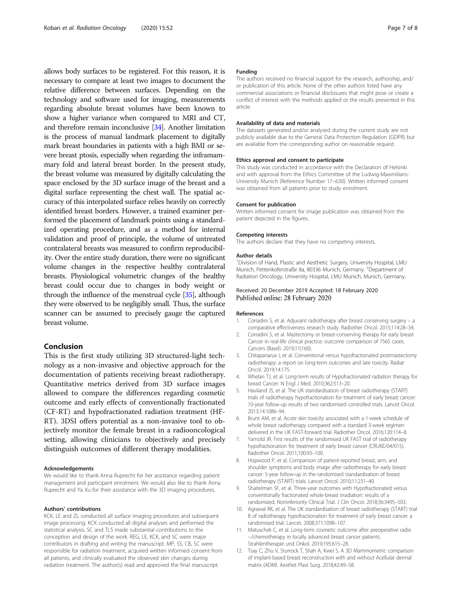<span id="page-6-0"></span>allows body surfaces to be registered. For this reason, it is necessary to compare at least two images to document the relative difference between surfaces. Depending on the technology and software used for imaging, measurements regarding absolute breast volumes have been known to show a higher variance when compared to MRI and CT, and therefore remain inconclusive [[34](#page-7-0)]. Another limitation is the process of manual landmark placement to digitally mark breast boundaries in patients with a high BMI or severe breast ptosis, especially when regarding the inframammary fold and lateral breast border. In the present study, the breast volume was measured by digitally calculating the space enclosed by the 3D surface image of the breast and a digital surface representing the chest wall. The spatial accuracy of this interpolated surface relies heavily on correctly identified breast borders. However, a trained examiner performed the placement of landmark points using a standardized operating procedure, and as a method for internal validation and proof of principle, the volume of untreated contralateral breasts was measured to confirm reproducibility. Over the entire study duration, there were no significant volume changes in the respective healthy contralateral breasts. Physiological volumetric changes of the healthy breast could occur due to changes in body weight or through the influence of the menstrual cycle [[35\]](#page-7-0), although they were observed to be negligibly small. Thus, the surface scanner can be assumed to precisely gauge the captured breast volume.

#### Conclusion

This is the first study utilizing 3D structured-light technology as a non-invasive and objective approach for the documentation of patients receiving breast radiotherapy. Quantitative metrics derived from 3D surface images allowed to compare the differences regarding cosmetic outcome and early effects of conventionally fractionated (CF-RT) and hypofractionated radiation treatment (HF-RT). 3DSI offers potential as a non-invasive tool to objectively monitor the female breast in a radiooncological setting, allowing clinicians to objectively and precisely distinguish outcomes of different therapy modalities.

#### Acknowledgements

We would like to thank Anna Ruprecht for her assistance regarding patient management and participant enrolment. We would also like to thank Anna Ruprecht and Ya Xu for their assistance with the 3D imaging procedures.

#### Authors' contributions

KCK, LE and ZL conducted all surface imaging procedures and subsequent image processing. KCK conducted all digital analyses and performed the statistical analysis. SC and TLS made substantial contributions to the conception and design of the work. REG, LE, KCK, and SC were major contributors in drafting and writing the manuscript. MP, SS, CB, SC were responsible for radiation treatment, acquired written informed consent from all patients, and clinically evaluated the observed skin changes during radiation treatment. The author(s) read and approved the final manuscript.

#### Funding

The authors received no financial support for the research, authorship, and/ or publication of this article. None of the other authors listed have any commercial associations or financial disclosures that might pose or create a conflict of interest with the methods applied or the results presented in this article.

#### Availability of data and materials

The datasets generated and/or analysed during the current study are not publicly available due to the General Data Protection Regulation (GDPR) but are available from the corresponding author on reasonable request.

#### Ethics approval and consent to participate

This study was conducted in accordance with the Declaration of Helsinki and with approval from the Ethics Committee of the Ludwig-Maximilians-University Munich (Reference Number 17–630). Written informed consent was obtained from all patients prior to study enrolment.

#### Consent for publication

Written informed consent for image publication was obtained from the patient depicted in the figures.

#### Competing interests

The authors declare that they have no competing interests.

#### Author details

<sup>1</sup> Division of Hand, Plastic and Aesthetic Surgery, University Hospital, LMU Munich, Pettenkoferstraße 8a, 80336 Munich, Germany. <sup>2</sup>Department of Radiation Oncology, University Hospital, LMU Munich, Munich, Germany.

#### Received: 20 December 2019 Accepted: 18 February 2020 Published online: 28 February 2020

#### References

- 1. Corradini S, et al. Adjuvant radiotherapy after breast conserving surgery a comparative effectiveness research study. Radiother Oncol. 2015;114:28–34.
- 2. Corradini S, et al. Mastectomy or breast-conserving therapy for early breast Cancer in real-life clinical practice: outcome comparison of 7565 cases. Cancers (Basel). 2019;11(160).
- 3. Chitapanarux I, et al. Conventional versus hypofractionated postmastectomy radiotherapy: a report on long-term outcomes and late toxicity. Radiat Oncol. 2019;14:175.
- 4. Whelan TJ, et al. Long-term results of Hypofractionated radiation therapy for breast Cancer. N Engl J Med. 2010;362:513–20.
- 5. Haviland JS, et al. The UK standardisation of breast radiotherapy (START) trials of radiotherapy hypofractionation for treatment of early breast cancer: 10-year follow-up results of two randomised controlled trials. Lancet Oncol. 2013;14:1086–94.
- 6. Brunt AM, et al. Acute skin toxicity associated with a 1-week schedule of whole breast radiotherapy compared with a standard 3-week regimen delivered in the UK FAST-forward trial. Radiother Oncol. 2016;120:114–8.
- 7. Yarnold JR. First results of the randomised UK FAST trial of radiotherapy hypofractionation for treatment of early breast cancer (CRUKE/04/015). Radiother Oncol. 2011;100:93–100.
- 8. Hopwood P, et al. Comparison of patient-reported breast, arm, and shoulder symptoms and body image after radiotherapy for early breast cancer: 5-year follow-up in the randomised standardisation of breast radiotherapy (START) trials. Lancet Oncol. 2010;11:231–40.
- 9. Shaitelman SF, et al. Three-year outcomes with Hypofractionated versus conventionally fractionated whole-breast irradiation: results of a randomized, Noninferiority Clinical Trial. J Clin Oncol. 2018;36:3495–503.
- 10. Agrawal RK, et al. The UK standardisation of breast radiotherapy (START) trial B of radiotherapy hypofractionation for treatment of early breast cancer: a randomised trial. Lancet. 2008;371:1098–107.
- 11. Matuschek C, et al. Long-term cosmetic outcome after preoperative radio −/chemotherapy in locally advanced breast cancer patients. Strahlentherapie und Onkol. 2019;195:615–28.
- 12. Tsay C, Zhu V, Sturrock T, Shah A, Kwei S. A 3D Mammometric comparison of implant-based breast reconstruction with and without Acellular dermal matrix (ADM). Aesthet Plast Surg. 2018;42:49–58.